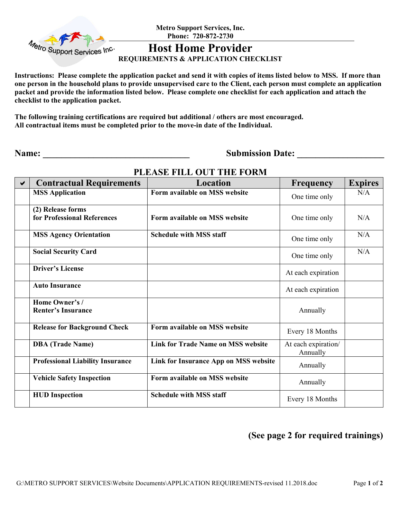

**Metro Support Services, Inc. Phone: 720-872-2730** 

## **Host Home Provider**

#### **REQUIREMENTS & APPLICATION CHECKLIST**

**Instructions: Please complete the application packet and send it with copies of items listed below to MSS. If more than one person in the household plans to provide unsupervised care to the Client, each person must complete an application packet and provide the information listed below. Please complete one checklist for each application and attach the checklist to the application packet.**

**The following training certifications are required but additional / others are most encouraged. All contractual items must be completed prior to the move-in date of the Individual.** 

**Name: \_\_\_\_\_\_\_\_\_\_\_\_\_\_\_\_\_\_\_\_\_\_\_\_\_\_\_\_\_\_\_\_ Submission Date: \_\_\_\_\_\_\_\_\_\_\_\_\_\_\_\_\_\_\_** 

| $\blacktriangledown$ | <b>Contractual Requirements</b>                  | Location                                  | <b>Frequency</b>                | <b>Expires</b> |
|----------------------|--------------------------------------------------|-------------------------------------------|---------------------------------|----------------|
|                      | <b>MSS Application</b>                           | Form available on MSS website             | One time only                   | N/A            |
|                      | (2) Release forms<br>for Professional References | Form available on MSS website             | One time only                   | N/A            |
|                      | <b>MSS Agency Orientation</b>                    | <b>Schedule with MSS staff</b>            | One time only                   | N/A            |
|                      | <b>Social Security Card</b>                      |                                           | One time only                   | N/A            |
|                      | <b>Driver's License</b>                          |                                           | At each expiration              |                |
|                      | <b>Auto Insurance</b>                            |                                           | At each expiration              |                |
|                      | Home Owner's /<br><b>Renter's Insurance</b>      |                                           | Annually                        |                |
|                      | <b>Release for Background Check</b>              | Form available on MSS website             | Every 18 Months                 |                |
|                      | <b>DBA</b> (Trade Name)                          | <b>Link for Trade Name on MSS website</b> | At each expiration/<br>Annually |                |
|                      | <b>Professional Liability Insurance</b>          | Link for Insurance App on MSS website     | Annually                        |                |
|                      | <b>Vehicle Safety Inspection</b>                 | Form available on MSS website             | Annually                        |                |
|                      | <b>HUD</b> Inspection                            | <b>Schedule with MSS staff</b>            | Every 18 Months                 |                |

#### **PLEASE FILL OUT THE FORM**

### **(See page 2 for required trainings)**